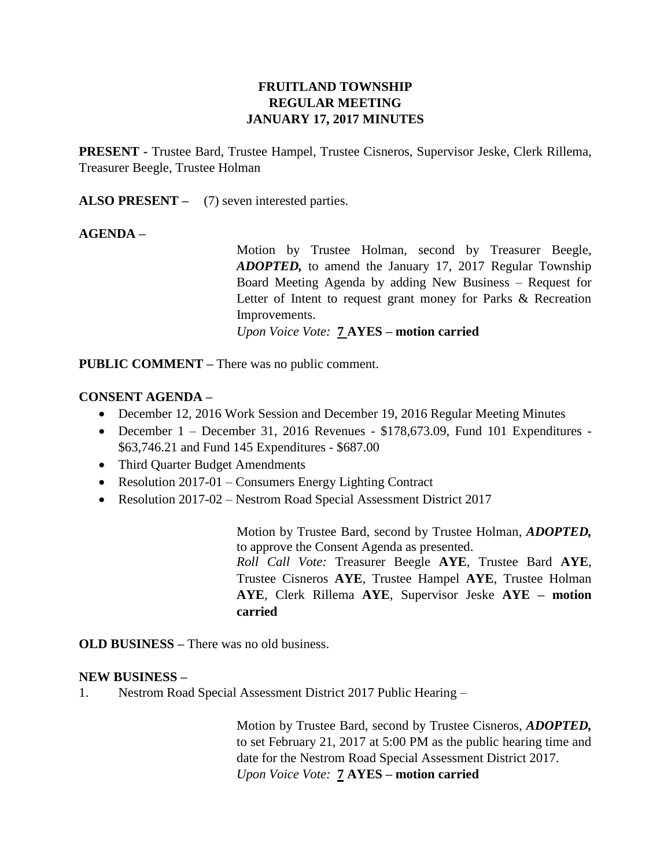# **FRUITLAND TOWNSHIP REGULAR MEETING JANUARY 17, 2017 MINUTES**

**PRESENT -** Trustee Bard, Trustee Hampel, Trustee Cisneros, Supervisor Jeske, Clerk Rillema, Treasurer Beegle, Trustee Holman

ALSO PRESENT – (7) seven interested parties.

## **AGENDA –**

Motion by Trustee Holman, second by Treasurer Beegle, *ADOPTED,* to amend the January 17, 2017 Regular Township Board Meeting Agenda by adding New Business – Request for Letter of Intent to request grant money for Parks & Recreation Improvements. *Upon Voice Vote:* **7 AYES – motion carried**

**PUBLIC COMMENT –** There was no public comment.

## **CONSENT AGENDA –**

- December 12, 2016 Work Session and December 19, 2016 Regular Meeting Minutes
- December 1 December 31, 2016 Revenues \$178,673.09, Fund 101 Expenditures \$63,746.21 and Fund 145 Expenditures - \$687.00
- Third Quarter Budget Amendments
- Resolution 2017-01 Consumers Energy Lighting Contract
- Resolution 2017-02 Nestrom Road Special Assessment District 2017

Motion by Trustee Bard, second by Trustee Holman, *ADOPTED,*  to approve the Consent Agenda as presented.

*Roll Call Vote:* Treasurer Beegle **AYE**, Trustee Bard **AYE**, Trustee Cisneros **AYE**, Trustee Hampel **AYE**, Trustee Holman **AYE**, Clerk Rillema **AYE**, Supervisor Jeske **AYE – motion carried**

**OLD BUSINESS –** There was no old business.

#### **NEW BUSINESS –**

1. Nestrom Road Special Assessment District 2017 Public Hearing –

Motion by Trustee Bard, second by Trustee Cisneros, *ADOPTED,*  to set February 21, 2017 at 5:00 PM as the public hearing time and date for the Nestrom Road Special Assessment District 2017. *Upon Voice Vote:* **7 AYES – motion carried**